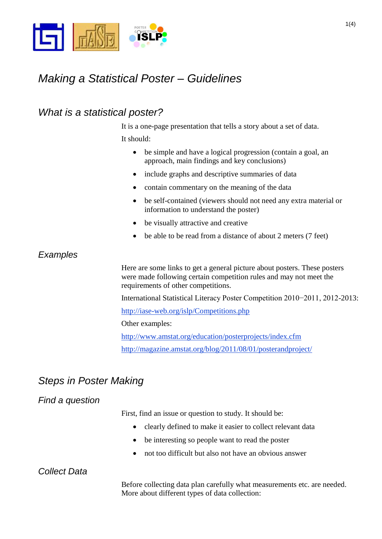

# *Making a Statistical Poster – Guidelines*

## *What is a statistical poster?*

It is a one-page presentation that tells a story about a set of data.

It should:

- be simple and have a logical progression (contain a goal, an approach, main findings and key conclusions)
- include graphs and descriptive summaries of data
- contain commentary on the meaning of the data
- be self-contained (viewers should not need any extra material or information to understand the poster)
- be visually attractive and creative
- be able to be read from a distance of about 2 meters (7 feet)

### *Examples*

Here are some links to get a general picture about posters. These posters were made following certain competition rules and may not meet the requirements of other competitions.

International Statistical Literacy Poster Competition 2010−2011, 2012-2013:

[http://iase-web.org/islp/Competitions.php](http://www.amstat.org/education/posterprojects/index.cfm)

Other examples:

<http://www.amstat.org/education/posterprojects/index.cfm> <http://magazine.amstat.org/blog/2011/08/01/posterandproject/>

# *Steps in Poster Making*

### *Find a question*

First, find an issue or question to study. It should be:

- clearly defined to make it easier to collect relevant data
- be interesting so people want to read the poster
- not too difficult but also not have an obvious answer

#### *Collect Data*

Before collecting data plan carefully what measurements etc. are needed. More about different types of data collection: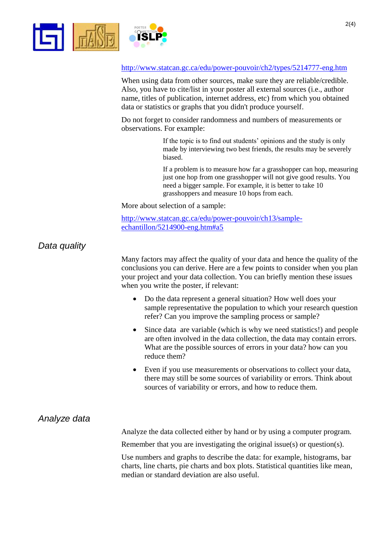



#### <http://www.statcan.gc.ca/edu/power-pouvoir/ch2/types/5214777-eng.htm>

When using data from other sources, make sure they are reliable/credible. Also, you have to cite/list in your poster all external sources (i.e., author name, titles of publication, internet address, etc) from which you obtained data or statistics or graphs that you didn't produce yourself.

Do not forget to consider randomness and numbers of measurements or observations. For example:

> If the topic is to find out students' opinions and the study is only made by interviewing two best friends, the results may be severely biased.

If a problem is to measure how far a grasshopper can hop, measuring just one hop from one grasshopper will not give good results. You need a bigger sample. For example, it is better to take 10 grasshoppers and measure 10 hops from each.

More about selection of a sample:

[http://www.statcan.gc.ca/edu/power-pouvoir/ch13/sample](http://www.statcan.gc.ca/edu/power-pouvoir/ch13/sample-echantillon/5214900-eng.htm#a5)[echantillon/5214900-eng.htm#a5](http://www.statcan.gc.ca/edu/power-pouvoir/ch13/sample-echantillon/5214900-eng.htm#a5)

### *Data quality*

Many factors may affect the quality of your data and hence the quality of the conclusions you can derive. Here are a few points to consider when you plan your project and your data collection. You can briefly mention these issues when you write the poster, if relevant:

- Do the data represent a general situation? How well does your sample representative the population to which your research question refer? Can you improve the sampling process or sample?
- Since data are variable (which is why we need statistics!) and people are often involved in the data collection, the data may contain errors. What are the possible sources of errors in your data? how can you reduce them?
- Even if you use measurements or observations to collect your data, there may still be some sources of variability or errors. Think about sources of variability or errors, and how to reduce them.

#### *Analyze data*

Analyze the data collected either by hand or by using a computer program.

Remember that you are investigating the original issue(s) or question(s).

Use numbers and graphs to describe the data: for example, histograms, bar charts, line charts, pie charts and box plots. Statistical quantities like mean, median or standard deviation are also useful.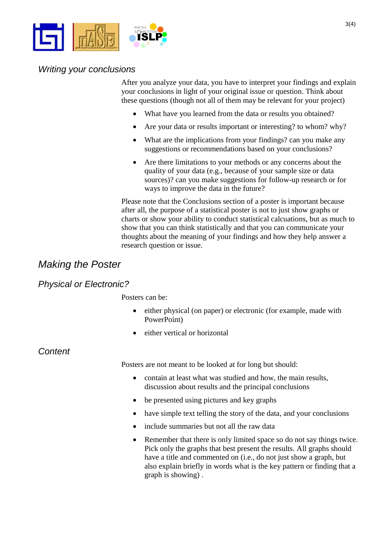

#### *Writing your conclusions*

After you analyze your data, you have to interpret your findings and explain your conclusions in light of your original issue or question. Think about these questions (though not all of them may be relevant for your project)

- What have you learned from the data or results you obtained?
- Are your data or results important or interesting? to whom? why?
- What are the implications from your findings? can you make any suggestions or recommendations based on your conclusions?
- Are there limitations to your methods or any concerns about the quality of your data (e.g., because of your sample size or data sources)? can you make suggestions for follow-up research or for ways to improve the data in the future?

Please note that the Conclusions section of a poster is important because after all, the purpose of a statistical poster is not to just show graphs or charts or show your ability to conduct statistical calcuations, but as much to show that you can think statistically and that you can communicate your thoughts about the meaning of your findings and how they help answer a research question or issue.

### *Making the Poster*

### *Physical or Electronic?*

Posters can be:

- either physical (on paper) or electronic (for example, made with PowerPoint)
- either vertical or horizontal

*Content*

Posters are not meant to be looked at for long but should:

- contain at least what was studied and how, the main results, discussion about results and the principal conclusions
- be presented using pictures and key graphs
- have simple text telling the story of the data, and your conclusions
- include summaries but not all the raw data
- Remember that there is only limited space so do not say things twice. Pick only the graphs that best present the results. All graphs should have a title and commented on (i.e., do not just show a graph, but also explain briefly in words what is the key pattern or finding that a graph is showing) .